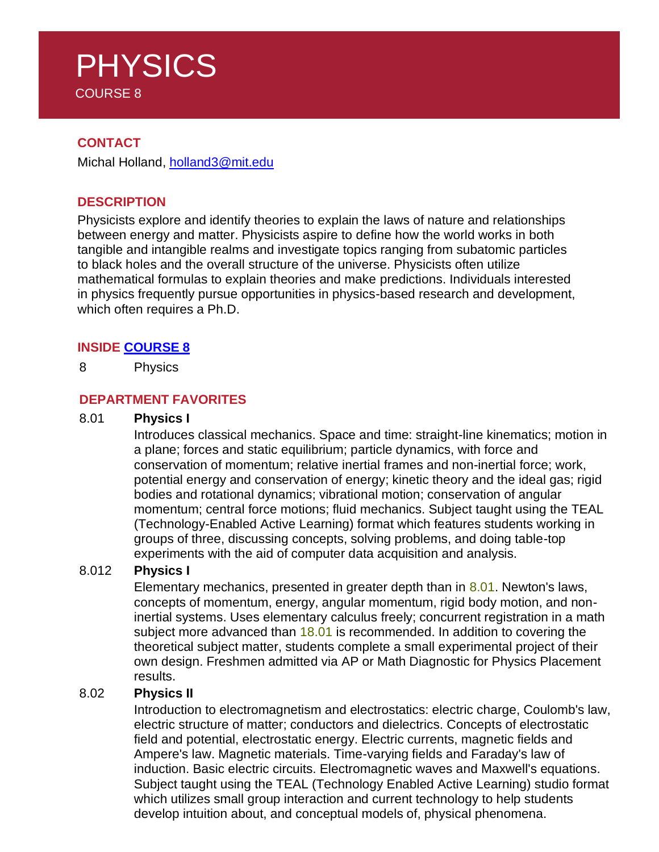# PHYSICS COURSE 8

### **CONTACT**

Michal Holland, [holland3@mit.edu](mailto:holland3@mit.edu)

### **DESCRIPTION**

Physicists explore and identify theories to explain the laws of nature and relationships between energy and matter. Physicists aspire to define how the world works in both tangible and intangible realms and investigate topics ranging from subatomic particles to black holes and the overall structure of the universe. Physicists often utilize mathematical formulas to explain theories and make predictions. Individuals interested in physics frequently pursue opportunities in physics-based research and development, which often requires a Ph.D.

### **INSIDE [COURSE](https://physics.mit.edu/academic-programs/undergrads/requirements/) 8**

8 Physics

### **DEPARTMENT FAVORITES**

#### 8.01 **Physics I**

Introduces classical mechanics. Space and time: straight-line kinematics; motion in a plane; forces and static equilibrium; particle dynamics, with force and conservation of momentum; relative inertial frames and non-inertial force; work, potential energy and conservation of energy; kinetic theory and the ideal gas; rigid bodies and rotational dynamics; vibrational motion; conservation of angular momentum; central force motions; fluid mechanics. Subject taught using the TEAL (Technology-Enabled Active Learning) format which features students working in groups of three, discussing concepts, solving problems, and doing table-top experiments with the aid of computer data acquisition and analysis.

### 8.012 **Physics I**

Elementary mechanics, presented in greater depth than in [8.01.](http://catalog.mit.edu/search/?P=8.01) Newton's laws, concepts of momentum, energy, angular momentum, rigid body motion, and noninertial systems. Uses elementary calculus freely; concurrent registration in a math subject more advanced than [18.01](http://catalog.mit.edu/search/?P=18.01) is recommended. In addition to covering the theoretical subject matter, students complete a small experimental project of their own design. Freshmen admitted via AP or Math Diagnostic for Physics Placement results.

#### 8.02 **Physics II**

Introduction to electromagnetism and electrostatics: electric charge, Coulomb's law, electric structure of matter; conductors and dielectrics. Concepts of electrostatic field and potential, electrostatic energy. Electric currents, magnetic fields and Ampere's law. Magnetic materials. Time-varying fields and Faraday's law of induction. Basic electric circuits. Electromagnetic waves and Maxwell's equations. Subject taught using the TEAL (Technology Enabled Active Learning) studio format which utilizes small group interaction and current technology to help students develop intuition about, and conceptual models of, physical phenomena.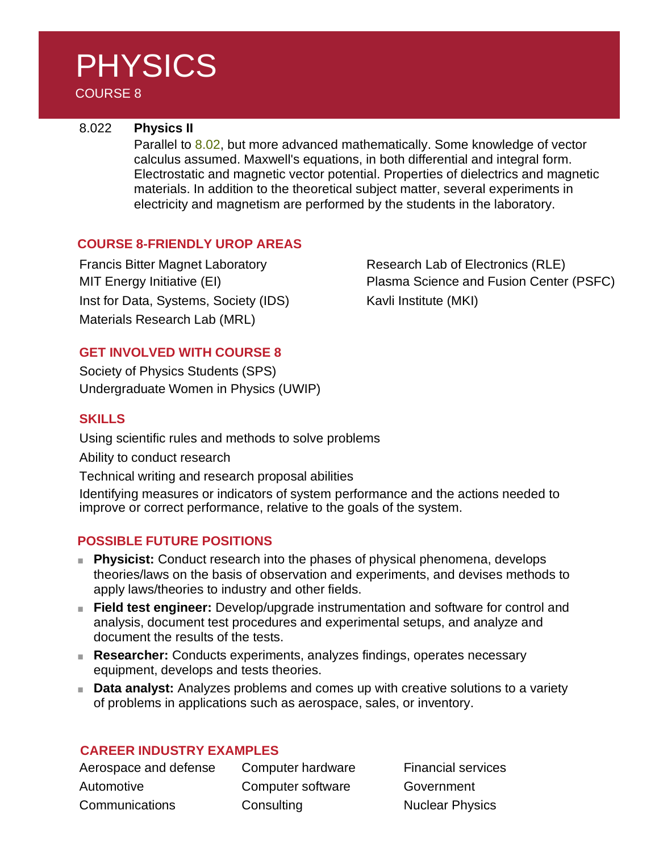# PHYSICS COURSE 8

8.022 **Physics II**

Parallel to [8.02,](http://catalog.mit.edu/search/?P=8.02) but more advanced mathematically. Some knowledge of vector calculus assumed. Maxwell's equations, in both differential and integral form. Electrostatic and magnetic vector potential. Properties of dielectrics and magnetic materials. In addition to the theoretical subject matter, several experiments in electricity and magnetism are performed by the students in the laboratory.

## **COURSE 8-FRIENDLY UROP AREAS**

Francis Bitter Magnet Laboratory Research Lab of Electronics (RLE) Inst for Data, Systems, Society (IDS) Kavli Institute (MKI) Materials Research Lab (MRL)

MIT Energy Initiative (EI) The State of Plasma Science and Fusion Center (PSFC)

# **GET INVOLVED WITH COURSE 8**

Society of Physics Students (SPS) Undergraduate Women in Physics (UWIP)

### **SKILLS**

Using scientific rules and methods to solve problems

Ability to conduct research

Technical writing and research proposal abilities

Identifying measures or indicators of system performance and the actions needed to improve or correct performance, relative to the goals of the system.

## **POSSIBLE FUTURE POSITIONS**

- **Physicist:** Conduct research into the phases of physical phenomena, develops theories/laws on the basis of observation and experiments, and devises methods to apply laws/theories to industry and other fields.
- **Field test engineer:** Develop/upgrade instrumentation and software for control and analysis, document test procedures and experimental setups, and analyze and document the results of the tests.
- **Researcher:** Conducts experiments, analyzes findings, operates necessary equipment, develops and tests theories.
- **Data analyst:** Analyzes problems and comes up with creative solutions to a variety of problems in applications such as aerospace, sales, or inventory.

## **CAREER INDUSTRY EXAMPLES**

| Aerospace and defense | Computer hardware |
|-----------------------|-------------------|
| Automotive            | Computer software |
| Communications        | Consulting        |

**Financial services Government Nuclear Physics**